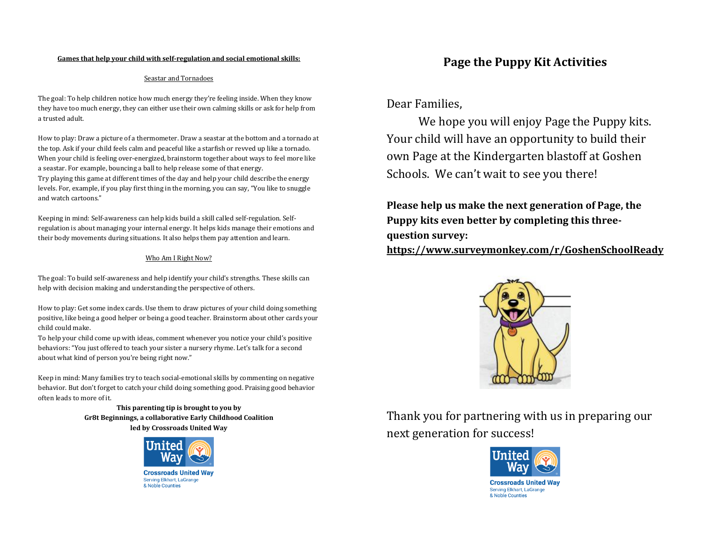#### **Games that help your child with self-regulation and social emotional skills:**

#### Seastar and Tornadoes

The goal: To help children notice how much energy they're feeling inside. When they know they have too much energy, they can either use their own calming skills or ask for help from a trusted adult.

How to play: Draw a picture of a thermometer. Draw a seastar at the bottom and a tornado at the top. Ask if your child feels calm and peaceful like a starfish or revved up like a tornado. When your child is feeling over-energized, brainstorm together about ways to feel more like a seastar. For example, bouncing a ball to help release some of that energy. Try playing this game at different times of the day and help your child describe the energy levels. For, example, if you play first thing in the morning, you can say, "You like to snuggle and watch cartoons."

Keeping in mind: Self-awareness can help kids build a skill called self-regulation. Selfregulation is about managing your internal energy. It helps kids manage their emotions and their body movements during situations. It also helps them pay attention and learn.

#### Who Am I Right Now?

The goal: To build self-awareness and help identify your child's strengths. These skills can help with decision making and understanding the perspective of others.

How to play: Get some index cards. Use them to draw pictures of your child doing something positive, like being a good helper or being a good teacher. Brainstorm about other cards your child could make.

To help your child come up with ideas, comment whenever you notice your child's positive behaviors: "You just offered to teach your sister a nursery rhyme. Let's talk for a second about what kind of person you're being right now."

Keep in mind: Many families try to teach social-emotional skills by commenting on negative behavior. But don't forget to catch your child doing something good. Praising good behavior often leads to more of it.

> **This parenting tip is brought to you by Gr8t Beginnings, a collaborative Early Childhood Coalition led by Crossroads United Way**



# **Page the Puppy Kit Activities**

Dear Families,

We hope you will enjoy Page the Puppy kits. Your child will have an opportunity to build their own Page at the Kindergarten blastoff at Goshen Schools. We can't wait to see you there!

**Please help us make the next generation of Page, the Puppy kits even better by completing this threequestion survey:**

**<https://www.surveymonkey.com/r/GoshenSchoolReady>**



Thank you for partnering with us in preparing our next generation for success!

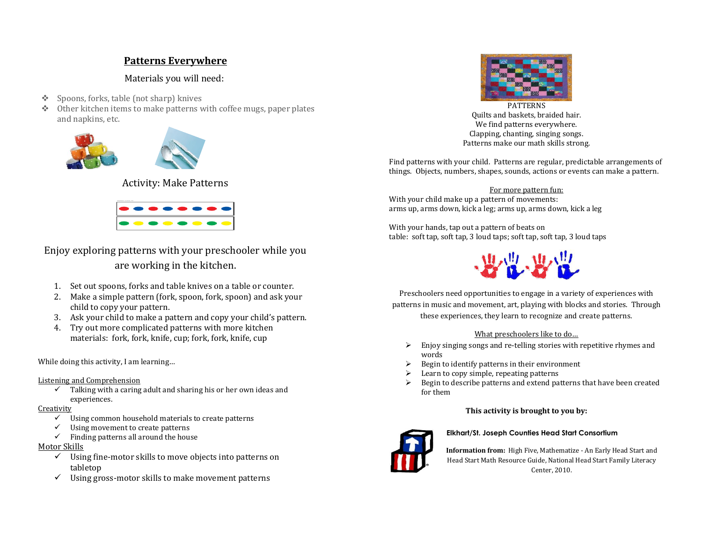## **Patterns Everywhere**

Materials you will need:

- ❖ Spoons, forks, table (not sharp) knives
- ❖ Other kitchen items to make patterns with coffee mugs, paper plates and napkins, etc.





Activity: Make Patterns



Enjoy exploring patterns with your preschooler while you are working in the kitchen.

- 1. Set out spoons, forks and table knives on a table or counter.
- 2. Make a simple pattern (fork, spoon, fork, spoon) and ask your child to copy your pattern.
- 3. Ask your child to make a pattern and copy your child's pattern.
- 4. Try out more complicated patterns with more kitchen materials: fork, fork, knife, cup; fork, fork, knife, cup

While doing this activity, I am learning…

#### Listening and Comprehension

 $\checkmark$  Talking with a caring adult and sharing his or her own ideas and experiences.

#### **Creativity**

- Using common household materials to create patterns
- $\checkmark$  Using movement to create patterns
- $\checkmark$  Finding patterns all around the house

## Motor Skills

- $\checkmark$  Using fine-motor skills to move objects into patterns on tabletop
- $\checkmark$  Using gross-motor skills to make movement patterns



PATTERNS Quilts and baskets, braided hair. We find patterns everywhere. Clapping, chanting, singing songs. Patterns make our math skills strong.

Find patterns with your child. Patterns are regular, predictable arrangements of things. Objects, numbers, shapes, sounds, actions or events can make a pattern.

For more pattern fun: With your child make up a pattern of movements: arms up, arms down, kick a leg; arms up, arms down, kick a leg

With your hands, tap out a pattern of beats on table: soft tap, soft tap, 3 loud taps; soft tap, soft tap, 3 loud taps



Preschoolers need opportunities to engage in a variety of experiences with patterns in music and movement, art, playing with blocks and stories. Through these experiences, they learn to recognize and create patterns.

#### What preschoolers like to do…

- ➢ Enjoy singing songs and re-telling stories with repetitive rhymes and words
- $\triangleright$  Begin to identify patterns in their environment
- $\blacktriangleright$  Learn to copy simple, repeating patterns
- ➢ Begin to describe patterns and extend patterns that have been created for them

## **This activity is brought to you by:**



#### **Elkhart/St. Joseph Counties Head Start Consortium**

**Information from:** High Five, Mathematize - An Early Head Start and Head Start Math Resource Guide, National Head Start Family Literacy Center, 2010.